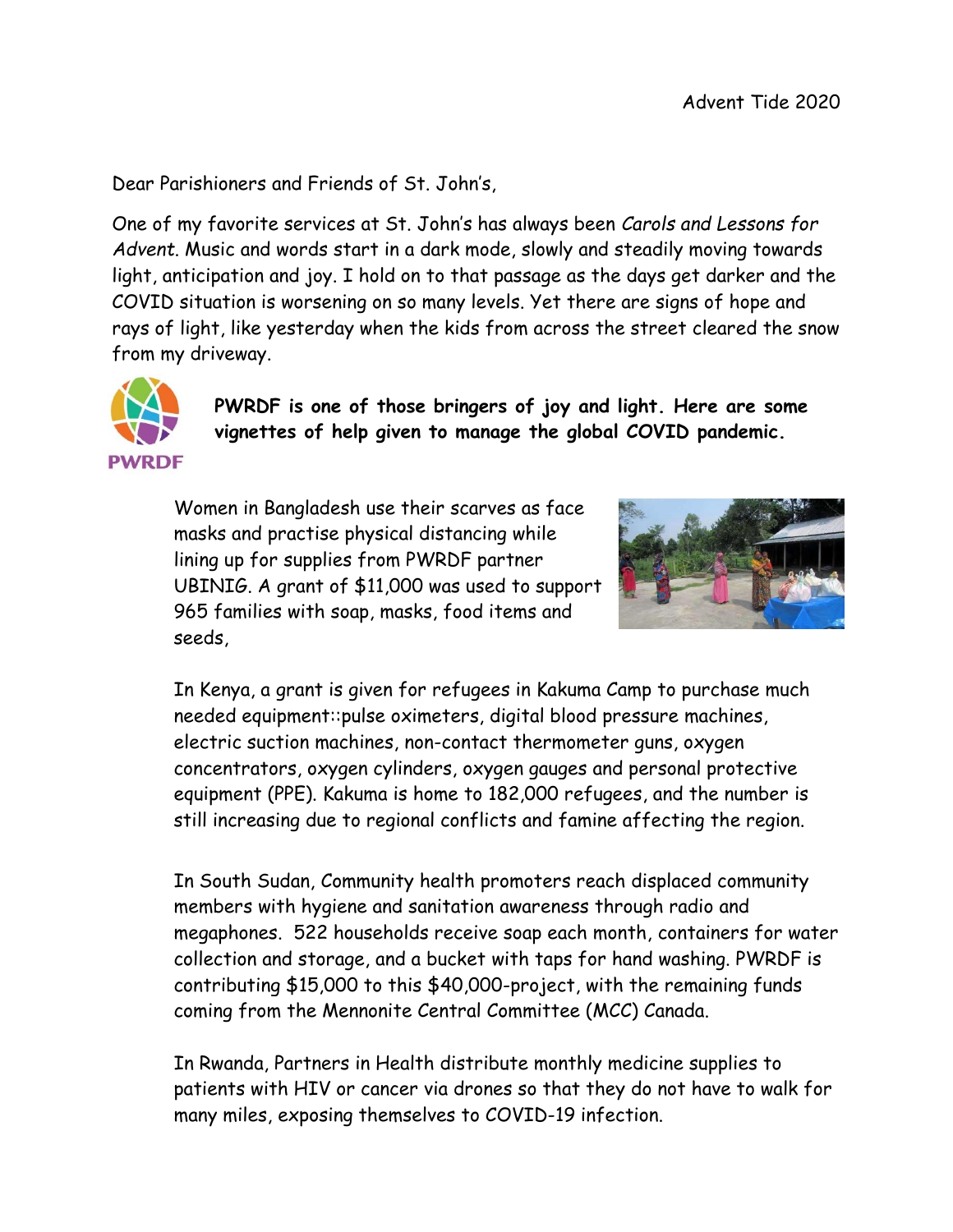Dear Parishioners and Friends of St. John's,

One of my favorite services at St. John's has always been *Carols and Lessons for Advent*. Music and words start in a dark mode, slowly and steadily moving towards light, anticipation and joy. I hold on to that passage as the days get darker and the COVID situation is worsening on so many levels. Yet there are signs of hope and rays of light, like yesterday when the kids from across the street cleared the snow from my driveway.



**PWRDF is one of those bringers of joy and light. Here are some vignettes of help given to manage the global COVID pandemic.** 

Women in Bangladesh use their scarves as face masks and practise physical distancing while lining up for supplies from PWRDF partner UBINIG. A grant of \$11,000 was used to support 965 families with soap, masks, food items and seeds,



In Kenya, a grant is given for refugees in Kakuma Camp to purchase much needed equipment::pulse oximeters, digital blood pressure machines, electric suction machines, non-contact thermometer guns, oxygen concentrators, oxygen cylinders, oxygen gauges and personal protective equipment (PPE). Kakuma is home to 182,000 refugees, and the number is still increasing due to regional conflicts and famine affecting the region.

In South Sudan, Community health promoters reach displaced community members with hygiene and sanitation awareness through radio and megaphones. 522 households receive soap each month, containers for water collection and storage, and a bucket with taps for hand washing. PWRDF is contributing \$15,000 to this \$40,000-project, with the remaining funds coming from the Mennonite Central Committee (MCC) Canada.

In Rwanda, Partners in Health distribute monthly medicine supplies to patients with HIV or cancer via drones so that they do not have to walk for many miles, exposing themselves to COVID-19 infection.